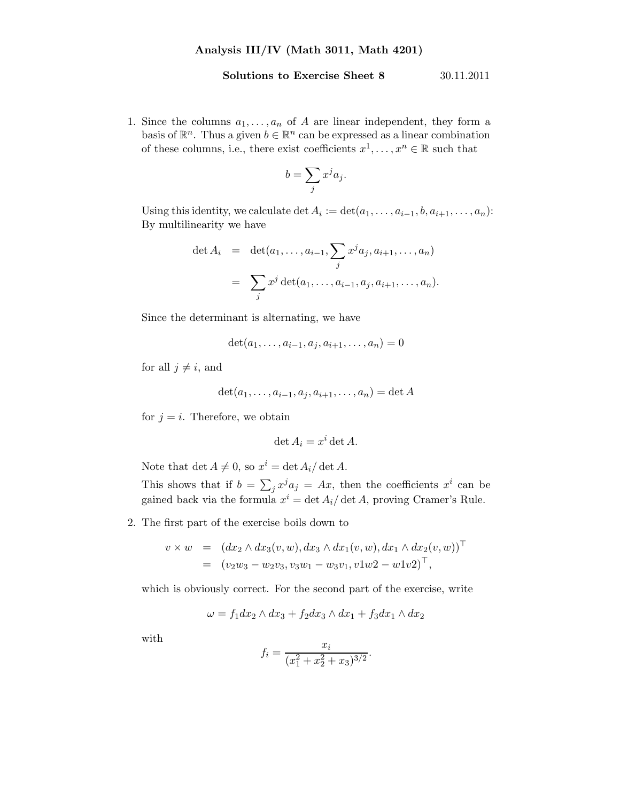## Solutions to Exercise Sheet 8 30.11.2011

1. Since the columns  $a_1, \ldots, a_n$  of A are linear independent, they form a basis of  $\mathbb{R}^n$ . Thus a given  $b \in \mathbb{R}^n$  can be expressed as a linear combination of these columns, i.e., there exist coefficients  $x^1, \ldots, x^n \in \mathbb{R}$  such that

$$
b = \sum_j x^j a_j.
$$

Using this identity, we calculate  $\det A_i := \det(a_1, \ldots, a_{i-1}, b, a_{i+1}, \ldots, a_n)$ : By multilinearity we have

$$
\det A_i = \det(a_1, \dots, a_{i-1}, \sum_j x^j a_j, a_{i+1}, \dots, a_n)
$$
  
=  $\sum_j x^j \det(a_1, \dots, a_{i-1}, a_j, a_{i+1}, \dots, a_n).$ 

Since the determinant is alternating, we have

$$
\det(a_1, \ldots, a_{i-1}, a_j, a_{i+1}, \ldots, a_n) = 0
$$

for all  $j \neq i$ , and

$$
\det(a_1,\ldots,a_{i-1},a_j,a_{i+1},\ldots,a_n)=\det A
$$

for  $j = i$ . Therefore, we obtain

$$
\det A_i = x^i \det A.
$$

Note that  $\det A \neq 0$ , so  $x^i = \det A_i / \det A$ .

This shows that if  $b = \sum_j x^j a_j = Ax$ , then the coefficients  $x^i$  can be gained back via the formula  $x^i = \det A_i / \det A$ , proving Cramer's Rule.

2. The first part of the exercise boils down to

$$
v \times w = (dx_2 \wedge dx_3(v, w), dx_3 \wedge dx_1(v, w), dx_1 \wedge dx_2(v, w))^\top = (v_2w_3 - w_2v_3, v_3w_1 - w_3v_1, v1w_2 - w_1v_2)^\top,
$$

which is obviously correct. For the second part of the exercise, write

$$
\omega = f_1 dx_2 \wedge dx_3 + f_2 dx_3 \wedge dx_1 + f_3 dx_1 \wedge dx_2
$$

with

$$
f_i = \frac{x_i}{(x_1^2 + x_2^2 + x_3)^{3/2}}
$$

.